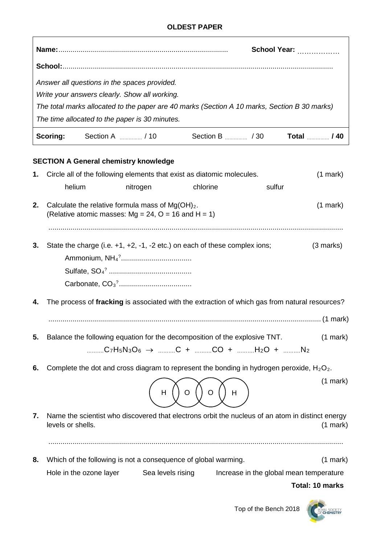|    |                   |                         |                                                                                                             |                                                                                                                        |        | School Year:                                                                                                   |
|----|-------------------|-------------------------|-------------------------------------------------------------------------------------------------------------|------------------------------------------------------------------------------------------------------------------------|--------|----------------------------------------------------------------------------------------------------------------|
|    |                   |                         |                                                                                                             |                                                                                                                        |        |                                                                                                                |
|    |                   |                         | Answer all questions in the spaces provided.                                                                |                                                                                                                        |        |                                                                                                                |
|    |                   |                         | Write your answers clearly. Show all working.                                                               |                                                                                                                        |        |                                                                                                                |
|    |                   |                         |                                                                                                             |                                                                                                                        |        | The total marks allocated to the paper are 40 marks (Section A 10 marks, Section B 30 marks)                   |
|    |                   |                         | The time allocated to the paper is 30 minutes.                                                              |                                                                                                                        |        |                                                                                                                |
|    | Scoring:          |                         |                                                                                                             |                                                                                                                        |        | Total <i></i> / 40                                                                                             |
|    |                   |                         | <b>SECTION A General chemistry knowledge</b>                                                                |                                                                                                                        |        |                                                                                                                |
| 1. |                   |                         |                                                                                                             | Circle all of the following elements that exist as diatomic molecules.                                                 |        | $(1$ mark)                                                                                                     |
|    | helium            |                         | nitrogen                                                                                                    | chlorine                                                                                                               | sulfur |                                                                                                                |
| 2. |                   |                         | Calculate the relative formula mass of $Mg(OH)2$ .<br>(Relative atomic masses: Mg = 24, $O = 16$ and H = 1) |                                                                                                                        |        | $(1$ mark)                                                                                                     |
|    |                   |                         |                                                                                                             |                                                                                                                        |        |                                                                                                                |
| 3. |                   |                         |                                                                                                             | State the charge (i.e. $+1$ , $+2$ , $-1$ , $-2$ etc.) on each of these complex ions;                                  |        | $(3$ marks)                                                                                                    |
|    |                   |                         |                                                                                                             |                                                                                                                        |        |                                                                                                                |
|    |                   |                         |                                                                                                             |                                                                                                                        |        |                                                                                                                |
| 4. |                   |                         |                                                                                                             |                                                                                                                        |        | The process of fracking is associated with the extraction of which gas from natural resources?                 |
|    |                   |                         |                                                                                                             |                                                                                                                        |        |                                                                                                                |
| 5. |                   |                         |                                                                                                             | Balance the following equation for the decomposition of the explosive TNT.<br>C7H5N3O6 $\rightarrow$ C + CO + H2O + N2 |        | $(1$ mark $)$                                                                                                  |
| 6. |                   |                         |                                                                                                             | Complete the dot and cross diagram to represent the bonding in hydrogen peroxide, $H_2O_2$ .                           |        |                                                                                                                |
|    |                   |                         | H                                                                                                           | O                                                                                                                      | Н      | $(1$ mark $)$                                                                                                  |
| 7. | levels or shells. |                         |                                                                                                             |                                                                                                                        |        | Name the scientist who discovered that electrons orbit the nucleus of an atom in distinct energy<br>$(1$ mark) |
| 8. |                   |                         |                                                                                                             | Which of the following is not a consequence of global warming.                                                         |        | $(1$ mark)                                                                                                     |
|    |                   | Hole in the ozone layer | Sea levels rising                                                                                           |                                                                                                                        |        | Increase in the global mean temperature                                                                        |

**Total: 10 marks**

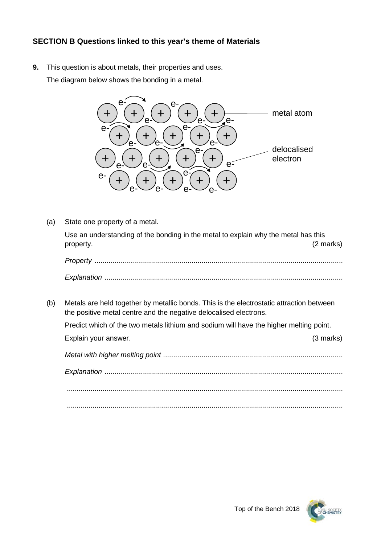## **SECTION B Questions linked to this year's theme of Materials**

**9.** This question is about metals, their properties and uses. The diagram below shows the bonding in a metal.



(a) State one property of a metal. Use an understanding of the bonding in the metal to explain why the metal has this property. (2 marks) *Property ........................................................................................................................... Explanation ......................................................................................................................* (b) Metals are held together by metallic bonds. This is the electrostatic attraction between the positive metal centre and the negative delocalised electrons. Predict which of the two metals lithium and sodium will have the higher melting point. Explain your answer. (3 marks) *Metal with higher melting point ......................................................................................... Explanation ...................................................................................................................... ......................................................................................................................................... .........................................................................................................................................*

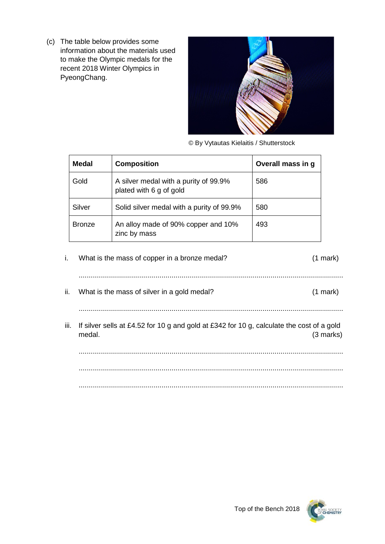(c) The table below provides some information about the materials used to make the Olympic medals for the recent 2018 Winter Olympics in PyeongChang.



© By Vytautas Kielaitis / Shutterstock

| Medal         | <b>Composition</b>                                               | Overall mass in g |
|---------------|------------------------------------------------------------------|-------------------|
| Gold          | A silver medal with a purity of 99.9%<br>plated with 6 g of gold | 586               |
| Silver        | Solid silver medal with a purity of 99.9%                        | 580               |
| <b>Bronze</b> | An alloy made of 90% copper and 10%<br>zinc by mass              | 493               |

i. What is the mass of copper in a bronze medal? (1 mark) ................................................................................................................................... ii. What is the mass of silver in a gold medal? (1 mark) ................................................................................................................................... iii. If silver sells at £4.52 for 10 g and gold at £342 for 10 g, calculate the cost of a gold medal. (3 marks) ...................................................................................................................................

................................................................................................................................... ...................................................................................................................................

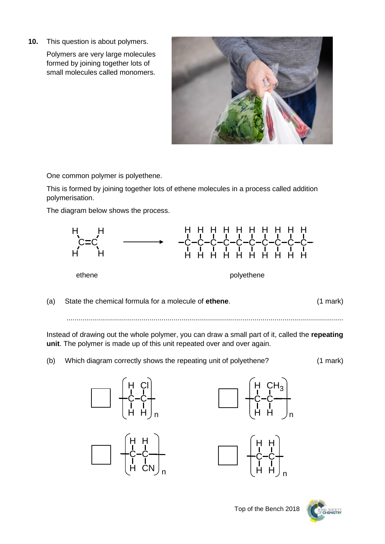**10.** This question is about polymers.

Polymers are very large molecules formed by joining together lots of small molecules called monomers.



One common polymer is polyethene.

This is formed by joining together lots of ethene molecules in a process called addition polymerisation.

The diagram below shows the process.



(a) State the chemical formula for a molecule of **ethene**. (1 mark)

.........................................................................................................................................

Instead of drawing out the whole polymer, you can draw a small part of it, called the **repeating unit**. The polymer is made up of this unit repeated over and over again.

(b) Which diagram correctly shows the repeating unit of polyethene? (1 mark)









Top of the Bench 2018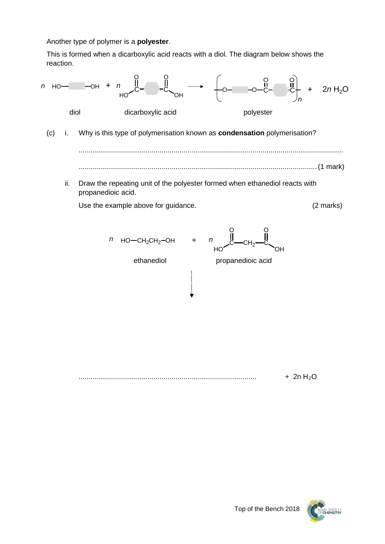Another type of polymer is a **polyester**.

This is formed when a dicarboxylic acid reacts with a diol. The diagram below shows the reaction.



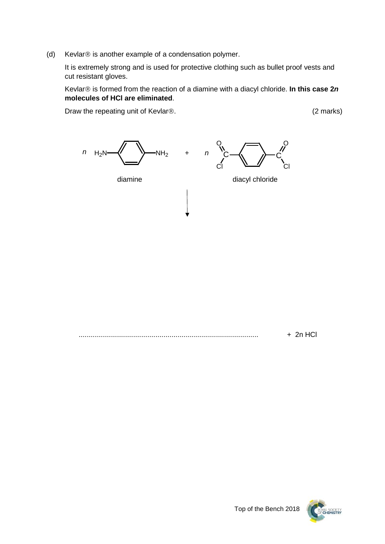(d) Kevlar $\circledR$  is another example of a condensation polymer.

It is extremely strong and is used for protective clothing such as bullet proof vests and cut resistant gloves.

Kevlar<sup>®</sup> is formed from the reaction of a diamine with a diacyl chloride. **In this case 2***n* **molecules of HCl are eliminated**.

Draw the repeating unit of Kevlar®. (2 marks)



......................................................................................... + 2n HCl

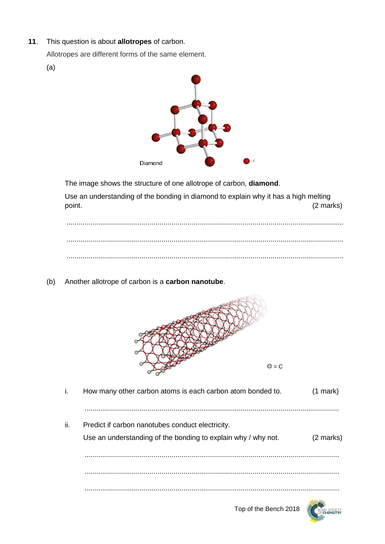**11**. This question is about **allotropes** of carbon.

Allotropes are different forms of the same element.

(a)



The image shows the structure of one allotrope of carbon, **diamond**.

Use an understanding of the bonding in diamond to explain why it has a high melting point. (2 marks)

......................................................................................................................................... ......................................................................................................................................... .........................................................................................................................................

(b) Another allotrope of carbon is a **carbon nanotube**.



| $\mathbf{L}$ | How many other carbon atoms is each carbon atom bonded to.    | $(1$ mark $)$       |
|--------------|---------------------------------------------------------------|---------------------|
|              |                                                               |                     |
| ΙÏ.          | Predict if carbon nanotubes conduct electricity.              |                     |
|              | Use an understanding of the bonding to explain why / why not. | $(2 \text{ marks})$ |
|              |                                                               |                     |
|              |                                                               |                     |
|              |                                                               |                     |



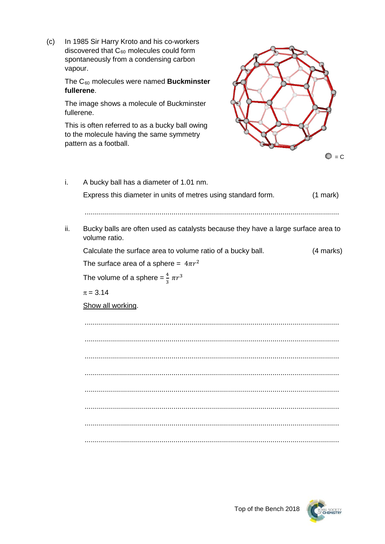(c) In 1985 Sir Harry Kroto and his co-workers discovered that  $C_{60}$  molecules could form spontaneously from a condensing carbon vapour.

> The C60 molecules were named **Buckminster fullerene**.

The image shows a molecule of Buckminster fullerene.

This is often referred to as a bucky ball owing to the molecule having the same symmetry pattern as a football.



| İ.  | A bucky ball has a diameter of 1.01 nm.                                                            |            |  |  |  |
|-----|----------------------------------------------------------------------------------------------------|------------|--|--|--|
|     | Express this diameter in units of metres using standard form.                                      | $(1$ mark) |  |  |  |
|     |                                                                                                    |            |  |  |  |
|     |                                                                                                    |            |  |  |  |
| ii. | Bucky balls are often used as catalysts because they have a large surface area to<br>volume ratio. |            |  |  |  |
|     | Calculate the surface area to volume ratio of a bucky ball.                                        | (4 marks)  |  |  |  |
|     | The surface area of a sphere = $4\pi r^2$                                                          |            |  |  |  |
|     | The volume of a sphere = $\frac{4}{3} \pi r^3$                                                     |            |  |  |  |
|     | $\pi = 3.14$                                                                                       |            |  |  |  |
|     | Show all working.                                                                                  |            |  |  |  |
|     |                                                                                                    |            |  |  |  |
|     |                                                                                                    |            |  |  |  |
|     |                                                                                                    |            |  |  |  |
|     |                                                                                                    |            |  |  |  |
|     |                                                                                                    |            |  |  |  |
|     |                                                                                                    |            |  |  |  |
|     |                                                                                                    |            |  |  |  |
|     |                                                                                                    |            |  |  |  |